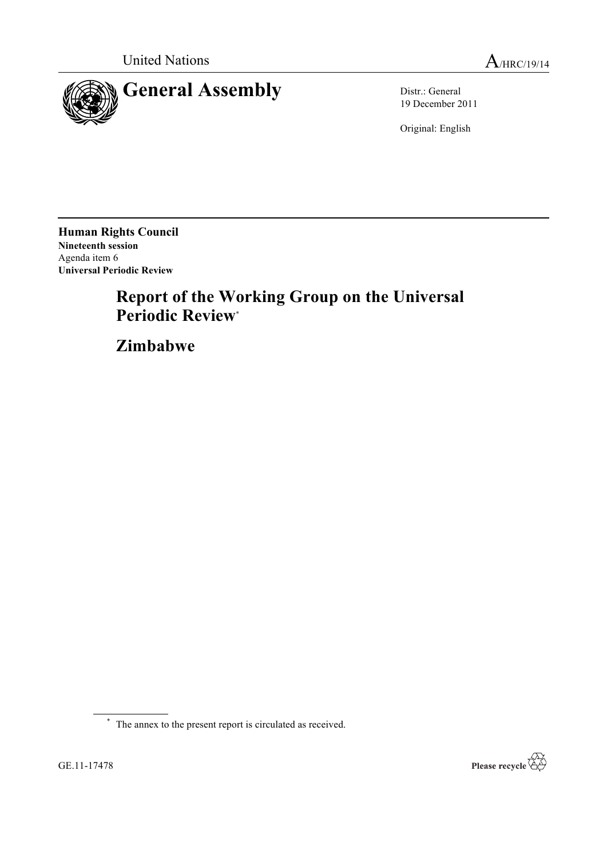



19 December 2011

Original: English

**Human Rights Council Nineteenth session** Agenda item 6 **Universal Periodic Review**

# **Report of the Working Group on the Universal Periodic Review**\*

**Zimbabwe**

\* The annex to the present report is circulated as received.

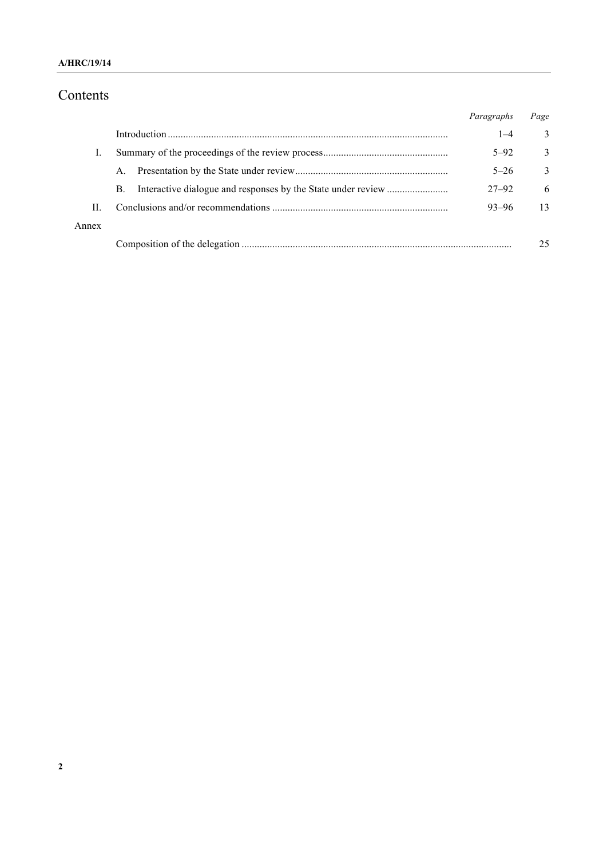#### **A/HRC/19/14**

## Contents

|       |         | Paragraphs | Page         |
|-------|---------|------------|--------------|
|       |         | $1 - 4$    | 3            |
|       |         | $5 - 92$   | 3            |
|       | $A_{-}$ | $5 - 26$   | $\mathbf{3}$ |
|       | В.      | $27 - 92$  | 6            |
| H.    |         | $93 - 96$  | 13           |
| Annex |         |            |              |
|       |         |            | 25           |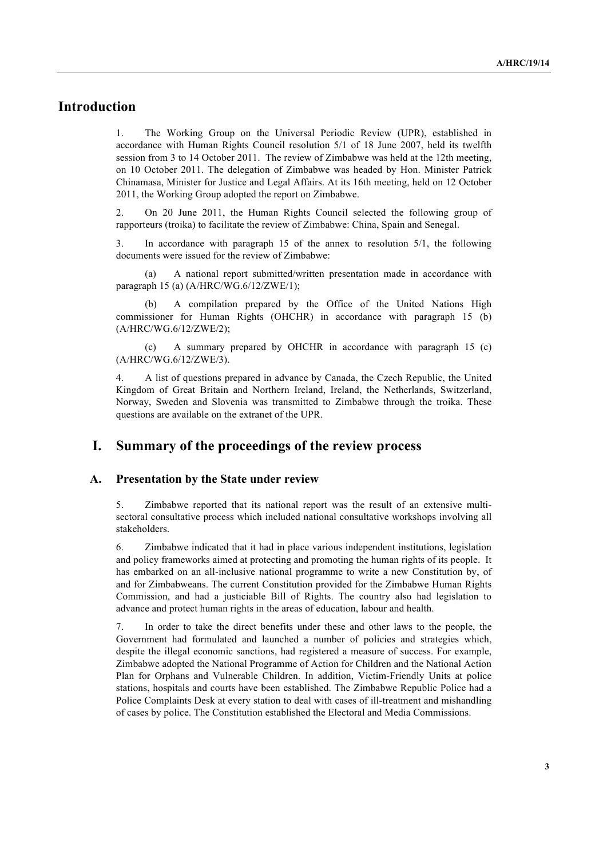## **Introduction**

1. The Working Group on the Universal Periodic Review (UPR), established in accordance with Human Rights Council resolution 5/1 of 18 June 2007, held its twelfth session from 3 to 14 October 2011. The review of Zimbabwe was held at the 12th meeting, on 10 October 2011. The delegation of Zimbabwe was headed by Hon. Minister Patrick Chinamasa, Minister for Justice and Legal Affairs. At its 16th meeting, held on 12 October 2011, the Working Group adopted the report on Zimbabwe.

2. On 20 June 2011, the Human Rights Council selected the following group of rapporteurs (troika) to facilitate the review of Zimbabwe: China, Spain and Senegal.

3. In accordance with paragraph 15 of the annex to resolution 5/1, the following documents were issued for the review of Zimbabwe:

(a) A national report submitted/written presentation made in accordance with paragraph 15 (a) (A/HRC/WG.6/12/ZWE/1);

(b) A compilation prepared by the Office of the United Nations High commissioner for Human Rights (OHCHR) in accordance with paragraph 15 (b) (A/HRC/WG.6/12/ZWE/2);

(c) A summary prepared by OHCHR in accordance with paragraph 15 (c) (A/HRC/WG.6/12/ZWE/3).

4. A list of questions prepared in advance by Canada, the Czech Republic, the United Kingdom of Great Britain and Northern Ireland, Ireland, the Netherlands, Switzerland, Norway, Sweden and Slovenia was transmitted to Zimbabwe through the troika. These questions are available on the extranet of the UPR.

### **I. Summary of the proceedings of the review process**

#### **A. Presentation by the State under review**

5. Zimbabwe reported that its national report was the result of an extensive multisectoral consultative process which included national consultative workshops involving all stakeholders.

6. Zimbabwe indicated that it had in place various independent institutions, legislation and policy frameworks aimed at protecting and promoting the human rights of its people. It has embarked on an all-inclusive national programme to write a new Constitution by, of and for Zimbabweans. The current Constitution provided for the Zimbabwe Human Rights Commission, and had a justiciable Bill of Rights. The country also had legislation to advance and protect human rights in the areas of education, labour and health.

7. In order to take the direct benefits under these and other laws to the people, the Government had formulated and launched a number of policies and strategies which, despite the illegal economic sanctions, had registered a measure of success. For example, Zimbabwe adopted the National Programme of Action for Children and the National Action Plan for Orphans and Vulnerable Children. In addition, Victim-Friendly Units at police stations, hospitals and courts have been established. The Zimbabwe Republic Police had a Police Complaints Desk at every station to deal with cases of ill-treatment and mishandling of cases by police. The Constitution established the Electoral and Media Commissions.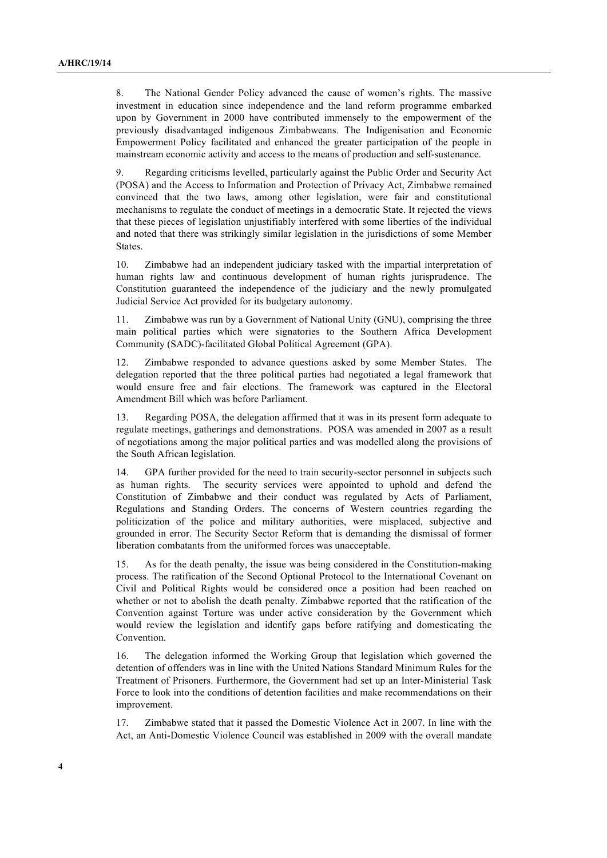8. The National Gender Policy advanced the cause of women's rights. The massive investment in education since independence and the land reform programme embarked upon by Government in 2000 have contributed immensely to the empowerment of the previously disadvantaged indigenous Zimbabweans. The Indigenisation and Economic Empowerment Policy facilitated and enhanced the greater participation of the people in mainstream economic activity and access to the means of production and self-sustenance.

9. Regarding criticisms levelled, particularly against the Public Order and Security Act (POSA) and the Access to Information and Protection of Privacy Act, Zimbabwe remained convinced that the two laws, among other legislation, were fair and constitutional mechanisms to regulate the conduct of meetings in a democratic State. It rejected the views that these pieces of legislation unjustifiably interfered with some liberties of the individual and noted that there was strikingly similar legislation in the jurisdictions of some Member States.

10. Zimbabwe had an independent judiciary tasked with the impartial interpretation of human rights law and continuous development of human rights jurisprudence. The Constitution guaranteed the independence of the judiciary and the newly promulgated Judicial Service Act provided for its budgetary autonomy.

11. Zimbabwe was run by a Government of National Unity (GNU), comprising the three main political parties which were signatories to the Southern Africa Development Community (SADC)-facilitated Global Political Agreement (GPA).

12. Zimbabwe responded to advance questions asked by some Member States. The delegation reported that the three political parties had negotiated a legal framework that would ensure free and fair elections. The framework was captured in the Electoral Amendment Bill which was before Parliament.

13. Regarding POSA, the delegation affirmed that it was in its present form adequate to regulate meetings, gatherings and demonstrations. POSA was amended in 2007 as a result of negotiations among the major political parties and was modelled along the provisions of the South African legislation.

14. GPA further provided for the need to train security-sector personnel in subjects such as human rights. The security services were appointed to uphold and defend the Constitution of Zimbabwe and their conduct was regulated by Acts of Parliament, Regulations and Standing Orders. The concerns of Western countries regarding the politicization of the police and military authorities, were misplaced, subjective and grounded in error. The Security Sector Reform that is demanding the dismissal of former liberation combatants from the uniformed forces was unacceptable.

15. As for the death penalty, the issue was being considered in the Constitution-making process. The ratification of the Second Optional Protocol to the International Covenant on Civil and Political Rights would be considered once a position had been reached on whether or not to abolish the death penalty. Zimbabwe reported that the ratification of the Convention against Torture was under active consideration by the Government which would review the legislation and identify gaps before ratifying and domesticating the Convention.

16. The delegation informed the Working Group that legislation which governed the detention of offenders was in line with the United Nations Standard Minimum Rules for the Treatment of Prisoners. Furthermore, the Government had set up an Inter-Ministerial Task Force to look into the conditions of detention facilities and make recommendations on their improvement.

17. Zimbabwe stated that it passed the Domestic Violence Act in 2007. In line with the Act, an Anti-Domestic Violence Council was established in 2009 with the overall mandate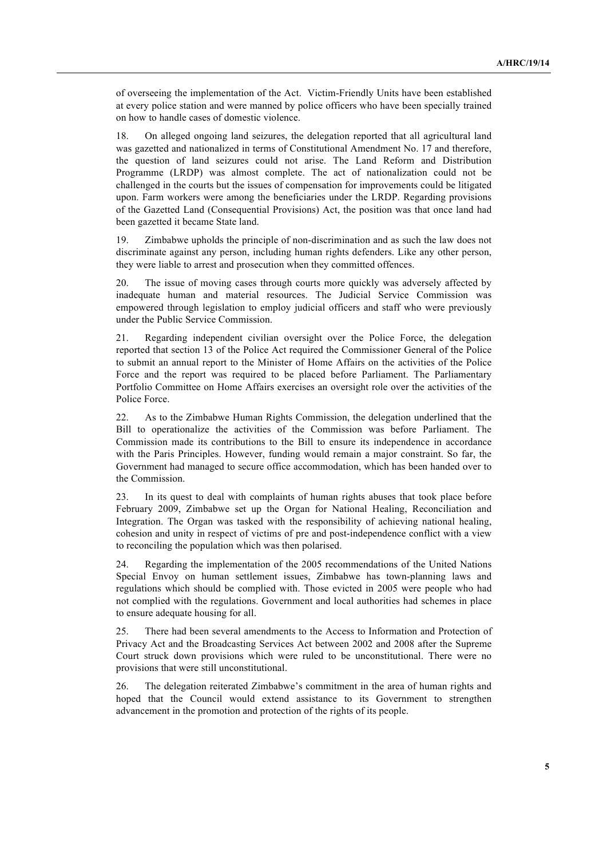of overseeing the implementation of the Act. Victim-Friendly Units have been established at every police station and were manned by police officers who have been specially trained on how to handle cases of domestic violence.

18. On alleged ongoing land seizures, the delegation reported that all agricultural land was gazetted and nationalized in terms of Constitutional Amendment No. 17 and therefore, the question of land seizures could not arise. The Land Reform and Distribution Programme (LRDP) was almost complete. The act of nationalization could not be challenged in the courts but the issues of compensation for improvements could be litigated upon. Farm workers were among the beneficiaries under the LRDP. Regarding provisions of the Gazetted Land (Consequential Provisions) Act, the position was that once land had been gazetted it became State land.

19. Zimbabwe upholds the principle of non-discrimination and as such the law does not discriminate against any person, including human rights defenders. Like any other person, they were liable to arrest and prosecution when they committed offences.

20. The issue of moving cases through courts more quickly was adversely affected by inadequate human and material resources. The Judicial Service Commission was empowered through legislation to employ judicial officers and staff who were previously under the Public Service Commission.

21. Regarding independent civilian oversight over the Police Force, the delegation reported that section 13 of the Police Act required the Commissioner General of the Police to submit an annual report to the Minister of Home Affairs on the activities of the Police Force and the report was required to be placed before Parliament. The Parliamentary Portfolio Committee on Home Affairs exercises an oversight role over the activities of the Police Force.

22. As to the Zimbabwe Human Rights Commission, the delegation underlined that the Bill to operationalize the activities of the Commission was before Parliament. The Commission made its contributions to the Bill to ensure its independence in accordance with the Paris Principles. However, funding would remain a major constraint. So far, the Government had managed to secure office accommodation, which has been handed over to the Commission.

23. In its quest to deal with complaints of human rights abuses that took place before February 2009, Zimbabwe set up the Organ for National Healing, Reconciliation and Integration. The Organ was tasked with the responsibility of achieving national healing, cohesion and unity in respect of victims of pre and post-independence conflict with a view to reconciling the population which was then polarised.

24. Regarding the implementation of the 2005 recommendations of the United Nations Special Envoy on human settlement issues, Zimbabwe has town-planning laws and regulations which should be complied with. Those evicted in 2005 were people who had not complied with the regulations. Government and local authorities had schemes in place to ensure adequate housing for all.

25. There had been several amendments to the Access to Information and Protection of Privacy Act and the Broadcasting Services Act between 2002 and 2008 after the Supreme Court struck down provisions which were ruled to be unconstitutional. There were no provisions that were still unconstitutional.

26. The delegation reiterated Zimbabwe's commitment in the area of human rights and hoped that the Council would extend assistance to its Government to strengthen advancement in the promotion and protection of the rights of its people.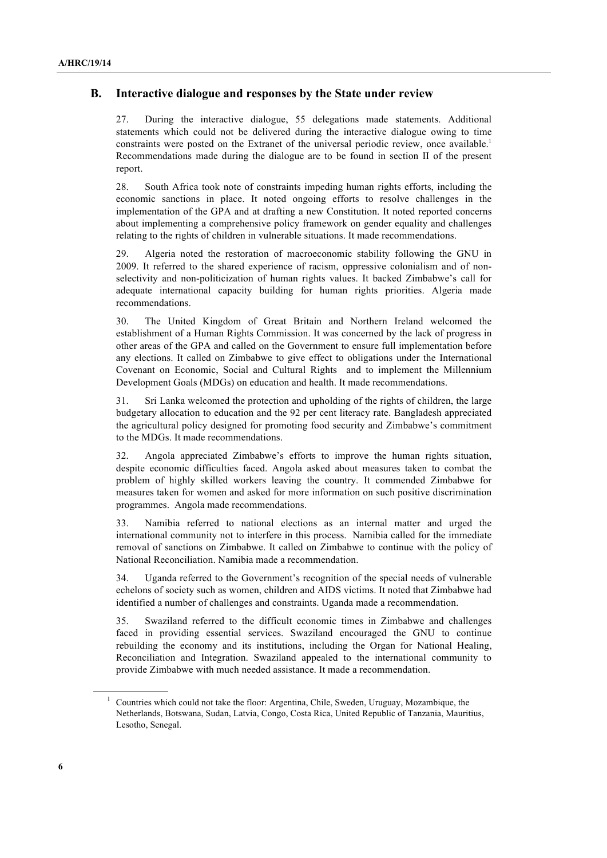#### **B. Interactive dialogue and responses by the State under review**

27. During the interactive dialogue, 55 delegations made statements. Additional statements which could not be delivered during the interactive dialogue owing to time constraints were posted on the Extranet of the universal periodic review, once available.<sup>1</sup> Recommendations made during the dialogue are to be found in section II of the present report.

28. South Africa took note of constraints impeding human rights efforts, including the economic sanctions in place. It noted ongoing efforts to resolve challenges in the implementation of the GPA and at drafting a new Constitution. It noted reported concerns about implementing a comprehensive policy framework on gender equality and challenges relating to the rights of children in vulnerable situations. It made recommendations.

29. Algeria noted the restoration of macroeconomic stability following the GNU in 2009. It referred to the shared experience of racism, oppressive colonialism and of nonselectivity and non-politicization of human rights values. It backed Zimbabwe's call for adequate international capacity building for human rights priorities. Algeria made recommendations.

30. The United Kingdom of Great Britain and Northern Ireland welcomed the establishment of a Human Rights Commission. It was concerned by the lack of progress in other areas of the GPA and called on the Government to ensure full implementation before any elections. It called on Zimbabwe to give effect to obligations under the International Covenant on Economic, Social and Cultural Rights and to implement the Millennium Development Goals (MDGs) on education and health. It made recommendations.

31. Sri Lanka welcomed the protection and upholding of the rights of children, the large budgetary allocation to education and the 92 per cent literacy rate. Bangladesh appreciated the agricultural policy designed for promoting food security and Zimbabwe's commitment to the MDGs. It made recommendations.

32. Angola appreciated Zimbabwe's efforts to improve the human rights situation, despite economic difficulties faced. Angola asked about measures taken to combat the problem of highly skilled workers leaving the country. It commended Zimbabwe for measures taken for women and asked for more information on such positive discrimination programmes. Angola made recommendations.

33. Namibia referred to national elections as an internal matter and urged the international community not to interfere in this process.Namibia called for the immediate removal of sanctions on Zimbabwe. It called on Zimbabwe to continue with the policy of National Reconciliation. Namibia made a recommendation.

34. Uganda referred to the Government's recognition of the special needs of vulnerable echelons of society such as women, children and AIDS victims. It noted that Zimbabwe had identified a number of challenges and constraints. Uganda made a recommendation.

35. Swaziland referred to the difficult economic times in Zimbabwe and challenges faced in providing essential services. Swaziland encouraged the GNU to continue rebuilding the economy and its institutions, including the Organ for National Healing, Reconciliation and Integration. Swaziland appealed to the international community to provide Zimbabwe with much needed assistance. It made a recommendation.

 $1$  Countries which could not take the floor: Argentina, Chile, Sweden, Uruguay, Mozambique, the Netherlands, Botswana, Sudan, Latvia, Congo, Costa Rica, United Republic of Tanzania, Mauritius, Lesotho, Senegal.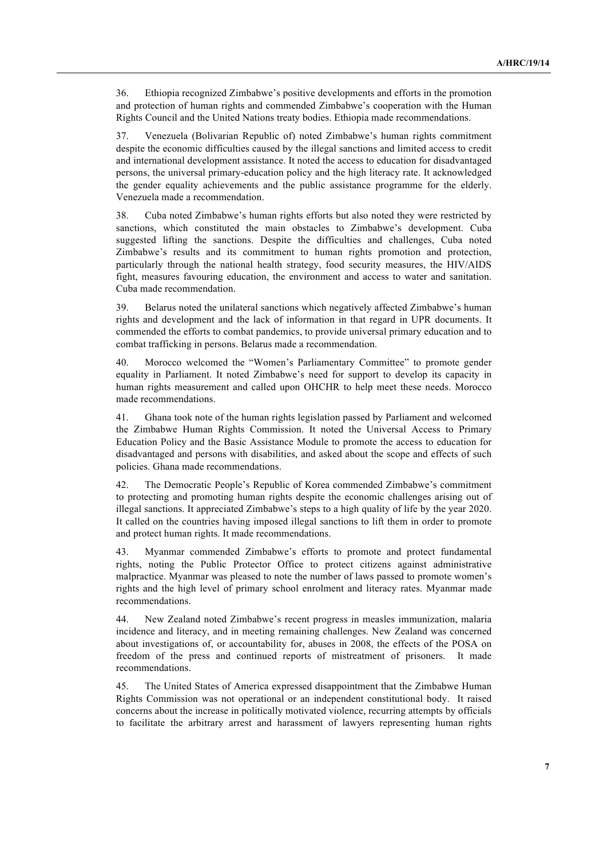36. Ethiopia recognized Zimbabwe's positive developments and efforts in the promotion and protection of human rights and commended Zimbabwe's cooperation with the Human Rights Council and the United Nations treaty bodies. Ethiopia made recommendations.

37. Venezuela (Bolivarian Republic of) noted Zimbabwe's human rights commitment despite the economic difficulties caused by the illegal sanctions and limited access to credit and international development assistance. It noted the access to education for disadvantaged persons, the universal primary-education policy and the high literacy rate. It acknowledged the gender equality achievements and the public assistance programme for the elderly. Venezuela made a recommendation.

38. Cuba noted Zimbabwe's human rights efforts but also noted they were restricted by sanctions, which constituted the main obstacles to Zimbabwe's development. Cuba suggested lifting the sanctions. Despite the difficulties and challenges, Cuba noted Zimbabwe's results and its commitment to human rights promotion and protection, particularly through the national health strategy, food security measures, the HIV/AIDS fight, measures favouring education, the environment and access to water and sanitation. Cuba made recommendation.

39. Belarus noted the unilateral sanctions which negatively affected Zimbabwe's human rights and development and the lack of information in that regard in UPR documents. It commended the efforts to combat pandemics, to provide universal primary education and to combat trafficking in persons. Belarus made a recommendation.

40. Morocco welcomed the "Women's Parliamentary Committee" to promote gender equality in Parliament. It noted Zimbabwe's need for support to develop its capacity in human rights measurement and called upon OHCHR to help meet these needs. Morocco made recommendations.

41. Ghana took note of the human rights legislation passed by Parliament and welcomed the Zimbabwe Human Rights Commission. It noted the Universal Access to Primary Education Policy and the Basic Assistance Module to promote the access to education for disadvantaged and persons with disabilities, and asked about the scope and effects of such policies. Ghana made recommendations.

42. The Democratic People's Republic of Korea commended Zimbabwe's commitment to protecting and promoting human rights despite the economic challenges arising out of illegal sanctions. It appreciated Zimbabwe's steps to a high quality of life by the year 2020. It called on the countries having imposed illegal sanctions to lift them in order to promote and protect human rights. It made recommendations.

43. Myanmar commended Zimbabwe's efforts to promote and protect fundamental rights, noting the Public Protector Office to protect citizens against administrative malpractice. Myanmar was pleased to note the number of laws passed to promote women's rights and the high level of primary school enrolment and literacy rates. Myanmar made recommendations.

44. New Zealand noted Zimbabwe's recent progress in measles immunization, malaria incidence and literacy, and in meeting remaining challenges. New Zealand was concerned about investigations of, or accountability for, abuses in 2008, the effects of the POSA on freedom of the press and continued reports of mistreatment of prisoners.It made recommendations.

45. The United States of America expressed disappointment that the Zimbabwe Human Rights Commission was not operational or an independent constitutional body. It raised concerns about the increase in politically motivated violence, recurring attempts by officials to facilitate the arbitrary arrest and harassment of lawyers representing human rights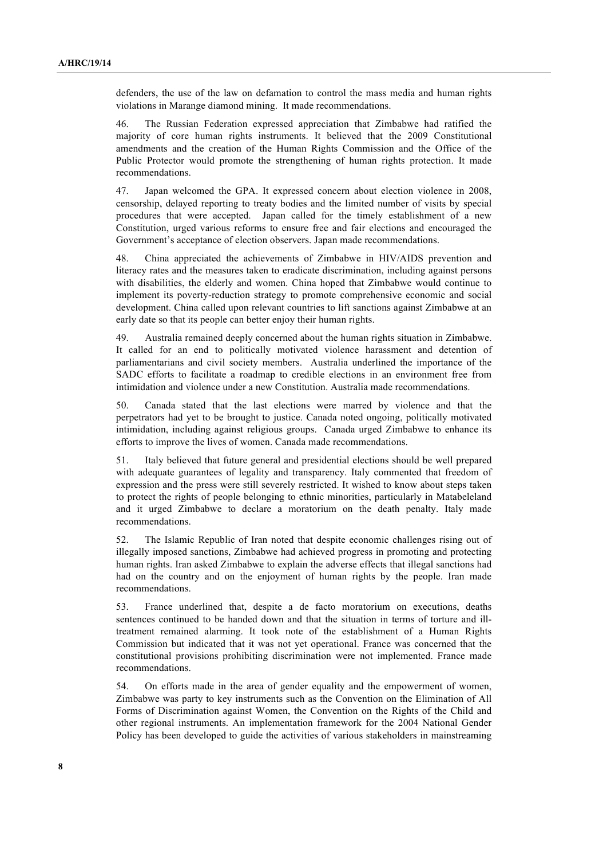defenders, the use of the law on defamation to control the mass media and human rights violations in Marange diamond mining.It made recommendations.

46. The Russian Federation expressed appreciation that Zimbabwe had ratified the majority of core human rights instruments. It believed that the 2009 Constitutional amendments and the creation of the Human Rights Commission and the Office of the Public Protector would promote the strengthening of human rights protection. It made recommendations.

47. Japan welcomed the GPA. It expressed concern about election violence in 2008, censorship, delayed reporting to treaty bodies and the limited number of visits by special procedures that were accepted. Japan called for the timely establishment of a new Constitution, urged various reforms to ensure free and fair elections and encouraged the Government's acceptance of election observers. Japan made recommendations.

48. China appreciated the achievements of Zimbabwe in HIV/AIDS prevention and literacy rates and the measures taken to eradicate discrimination, including against persons with disabilities, the elderly and women. China hoped that Zimbabwe would continue to implement its poverty-reduction strategy to promote comprehensive economic and social development. China called upon relevant countries to lift sanctions against Zimbabwe at an early date so that its people can better enjoy their human rights.

49. Australia remained deeply concerned about the human rights situation in Zimbabwe. It called for an end to politically motivated violence harassment and detention of parliamentarians and civil society members.Australia underlined the importance of the SADC efforts to facilitate a roadmap to credible elections in an environment free from intimidation and violence under a new Constitution. Australia made recommendations.

50. Canada stated that the last elections were marred by violence and that the perpetrators had yet to be brought to justice. Canada noted ongoing, politically motivated intimidation, including against religious groups. Canada urged Zimbabwe to enhance its efforts to improve the lives of women. Canada made recommendations.

51. Italy believed that future general and presidential elections should be well prepared with adequate guarantees of legality and transparency. Italy commented that freedom of expression and the press were still severely restricted. It wished to know about steps taken to protect the rights of people belonging to ethnic minorities, particularly in Matabeleland and it urged Zimbabwe to declare a moratorium on the death penalty. Italy made recommendations.

52. The Islamic Republic of Iran noted that despite economic challenges rising out of illegally imposed sanctions, Zimbabwe had achieved progress in promoting and protecting human rights. Iran asked Zimbabwe to explain the adverse effects that illegal sanctions had had on the country and on the enjoyment of human rights by the people. Iran made recommendations.

53. France underlined that, despite a de facto moratorium on executions, deaths sentences continued to be handed down and that the situation in terms of torture and illtreatment remained alarming. It took note of the establishment of a Human Rights Commission but indicated that it was not yet operational. France was concerned that the constitutional provisions prohibiting discrimination were not implemented. France made recommendations.

54. On efforts made in the area of gender equality and the empowerment of women, Zimbabwe was party to key instruments such as the Convention on the Elimination of All Forms of Discrimination against Women, the Convention on the Rights of the Child and other regional instruments. An implementation framework for the 2004 National Gender Policy has been developed to guide the activities of various stakeholders in mainstreaming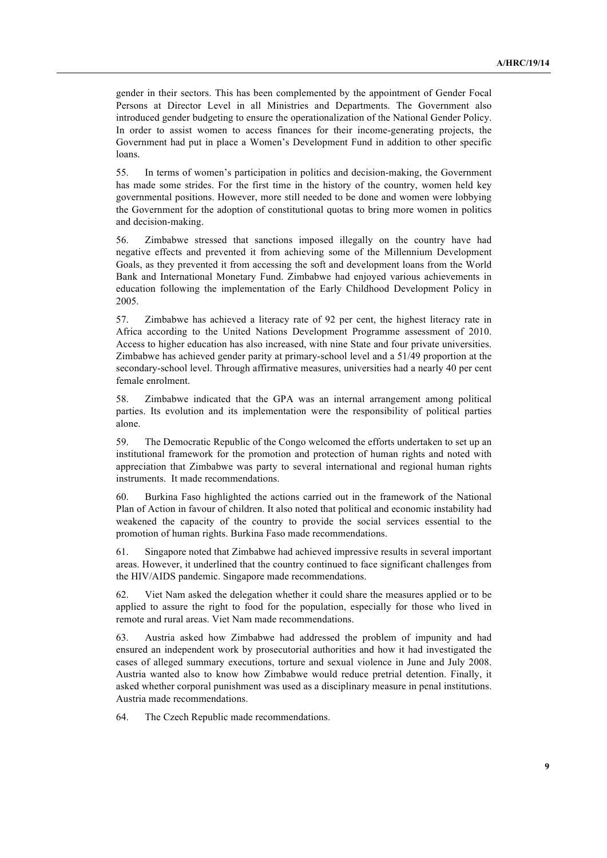gender in their sectors. This has been complemented by the appointment of Gender Focal Persons at Director Level in all Ministries and Departments. The Government also introduced gender budgeting to ensure the operationalization of the National Gender Policy. In order to assist women to access finances for their income-generating projects, the Government had put in place a Women's Development Fund in addition to other specific loans.

55. In terms of women's participation in politics and decision-making, the Government has made some strides. For the first time in the history of the country, women held key governmental positions. However, more still needed to be done and women were lobbying the Government for the adoption of constitutional quotas to bring more women in politics and decision-making.

56. Zimbabwe stressed that sanctions imposed illegally on the country have had negative effects and prevented it from achieving some of the Millennium Development Goals, as they prevented it from accessing the soft and development loans from the World Bank and International Monetary Fund. Zimbabwe had enjoyed various achievements in education following the implementation of the Early Childhood Development Policy in 2005.

57. Zimbabwe has achieved a literacy rate of 92 per cent, the highest literacy rate in Africa according to the United Nations Development Programme assessment of 2010. Access to higher education has also increased, with nine State and four private universities. Zimbabwe has achieved gender parity at primary-school level and a 51/49 proportion at the secondary-school level. Through affirmative measures, universities had a nearly 40 per cent female enrolment.

58. Zimbabwe indicated that the GPA was an internal arrangement among political parties. Its evolution and its implementation were the responsibility of political parties alone.

59. The Democratic Republic of the Congo welcomed the efforts undertaken to set up an institutional framework for the promotion and protection of human rights and noted with appreciation that Zimbabwe was party to several international and regional human rights instruments. It made recommendations.

60. Burkina Faso highlighted the actions carried out in the framework of the National Plan of Action in favour of children. It also noted that political and economic instability had weakened the capacity of the country to provide the social services essential to the promotion of human rights. Burkina Faso made recommendations.

61. Singapore noted that Zimbabwe had achieved impressive results in several important areas. However, it underlined that the country continued to face significant challenges from the HIV/AIDS pandemic. Singapore made recommendations.

62. Viet Nam asked the delegation whether it could share the measures applied or to be applied to assure the right to food for the population, especially for those who lived in remote and rural areas. Viet Nam made recommendations.

63. Austria asked how Zimbabwe had addressed the problem of impunity and had ensured an independent work by prosecutorial authorities and how it had investigated the cases of alleged summary executions, torture and sexual violence in June and July 2008. Austria wanted also to know how Zimbabwe would reduce pretrial detention. Finally, it asked whether corporal punishment was used as a disciplinary measure in penal institutions. Austria made recommendations.

64. The Czech Republic made recommendations.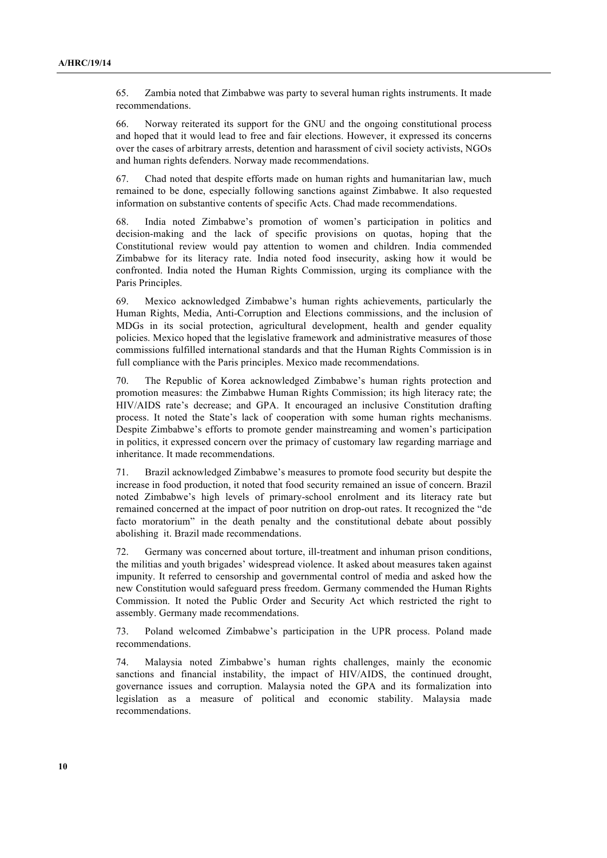65. Zambia noted that Zimbabwe was party to several human rights instruments. It made recommendations.

66. Norway reiterated its support for the GNU and the ongoing constitutional process and hoped that it would lead to free and fair elections. However, it expressed its concerns over the cases of arbitrary arrests, detention and harassment of civil society activists, NGOs and human rights defenders. Norway made recommendations.

67. Chad noted that despite efforts made on human rights and humanitarian law, much remained to be done, especially following sanctions against Zimbabwe. It also requested information on substantive contents of specific Acts. Chad made recommendations.

68. India noted Zimbabwe's promotion of women's participation in politics and decision-making and the lack of specific provisions on quotas, hoping that the Constitutional review would pay attention to women and children. India commended Zimbabwe for its literacy rate. India noted food insecurity, asking how it would be confronted. India noted the Human Rights Commission, urging its compliance with the Paris Principles.

69. Mexico acknowledged Zimbabwe's human rights achievements, particularly the Human Rights, Media, Anti-Corruption and Elections commissions, and the inclusion of MDGs in its social protection, agricultural development, health and gender equality policies. Mexico hoped that the legislative framework and administrative measures of those commissions fulfilled international standards and that the Human Rights Commission is in full compliance with the Paris principles. Mexico made recommendations.

70. The Republic of Korea acknowledged Zimbabwe's human rights protection and promotion measures: the Zimbabwe Human Rights Commission; its high literacy rate; the HIV/AIDS rate's decrease; and GPA. It encouraged an inclusive Constitution drafting process. It noted the State's lack of cooperation with some human rights mechanisms. Despite Zimbabwe's efforts to promote gender mainstreaming and women's participation in politics, it expressed concern over the primacy of customary law regarding marriage and inheritance. It made recommendations.

71. Brazil acknowledged Zimbabwe's measures to promote food security but despite the increase in food production, it noted that food security remained an issue of concern. Brazil noted Zimbabwe's high levels of primary-school enrolment and its literacy rate but remained concerned at the impact of poor nutrition on drop-out rates. It recognized the "de facto moratorium" in the death penalty and the constitutional debate about possibly abolishing it. Brazil made recommendations.

72. Germany was concerned about torture, ill-treatment and inhuman prison conditions, the militias and youth brigades' widespread violence. It asked about measures taken against impunity. It referred to censorship and governmental control of media and asked how the new Constitution would safeguard press freedom. Germany commended the Human Rights Commission. It noted the Public Order and Security Act which restricted the right to assembly. Germany made recommendations.

73. Poland welcomed Zimbabwe's participation in the UPR process. Poland made recommendations.

74. Malaysia noted Zimbabwe's human rights challenges, mainly the economic sanctions and financial instability, the impact of HIV/AIDS, the continued drought, governance issues and corruption. Malaysia noted the GPA and its formalization into legislation as a measure of political and economic stability. Malaysia made recommendations.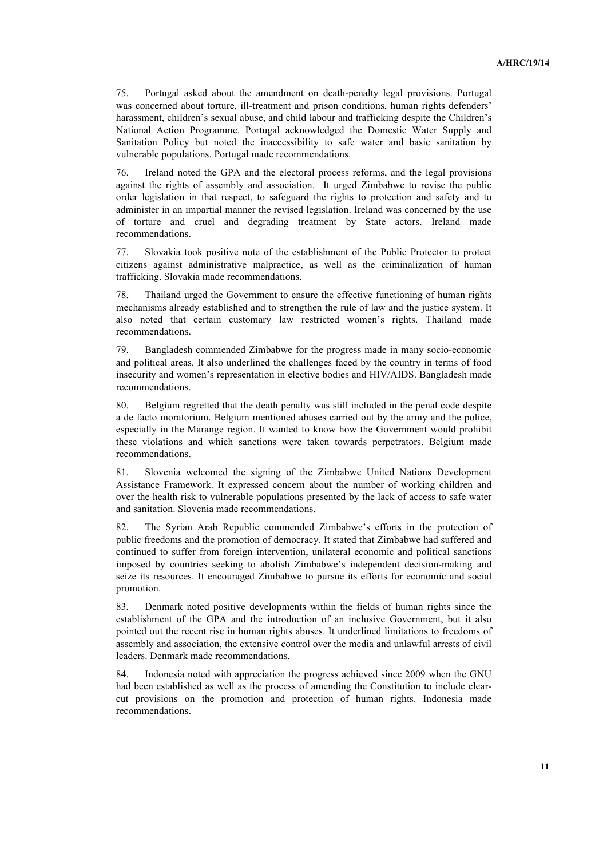75. Portugal asked about the amendment on death-penalty legal provisions. Portugal was concerned about torture, ill-treatment and prison conditions, human rights defenders' harassment, children's sexual abuse, and child labour and trafficking despite the Children's National Action Programme. Portugal acknowledged the Domestic Water Supply and Sanitation Policy but noted the inaccessibility to safe water and basic sanitation by vulnerable populations. Portugal made recommendations.

76. Ireland noted the GPA and the electoral process reforms, and the legal provisions against the rights of assembly and association. It urged Zimbabwe to revise the public order legislation in that respect, to safeguard the rights to protection and safety and to administer in an impartial manner the revised legislation. Ireland was concerned by the use of torture and cruel and degrading treatment by State actors. Ireland made recommendations.

77. Slovakia took positive note of the establishment of the Public Protector to protect citizens against administrative malpractice, as well as the criminalization of human trafficking. Slovakia made recommendations.

78. Thailand urged the Government to ensure the effective functioning of human rights mechanisms already established and to strengthen the rule of law and the justice system. It also noted that certain customary law restricted women's rights. Thailand made recommendations.

79. Bangladesh commended Zimbabwe for the progress made in many socio-economic and political areas. It also underlined the challenges faced by the country in terms of food insecurity and women's representation in elective bodies and HIV/AIDS. Bangladesh made recommendations.

80. Belgium regretted that the death penalty was still included in the penal code despite a de facto moratorium. Belgium mentioned abuses carried out by the army and the police, especially in the Marange region. It wanted to know how the Government would prohibit these violations and which sanctions were taken towards perpetrators. Belgium made recommendations.

81. Slovenia welcomed the signing of the Zimbabwe United Nations Development Assistance Framework. It expressed concern about the number of working children and over the health risk to vulnerable populations presented by the lack of access to safe water and sanitation. Slovenia made recommendations.

82. The Syrian Arab Republic commended Zimbabwe's efforts in the protection of public freedoms and the promotion of democracy. It stated that Zimbabwe had suffered and continued to suffer from foreign intervention, unilateral economic and political sanctions imposed by countries seeking to abolish Zimbabwe's independent decision-making and seize its resources. It encouraged Zimbabwe to pursue its efforts for economic and social promotion.

83. Denmark noted positive developments within the fields of human rights since the establishment of the GPA and the introduction of an inclusive Government, but it also pointed out the recent rise in human rights abuses. It underlined limitations to freedoms of assembly and association, the extensive control over the media and unlawful arrests of civil leaders. Denmark made recommendations.

84. Indonesia noted with appreciation the progress achieved since 2009 when the GNU had been established as well as the process of amending the Constitution to include clearcut provisions on the promotion and protection of human rights. Indonesia made recommendations.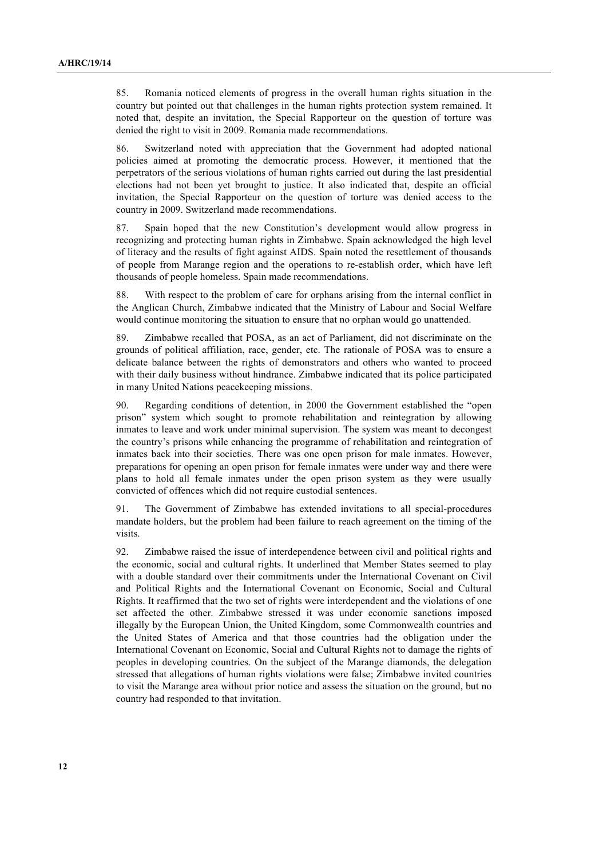85. Romania noticed elements of progress in the overall human rights situation in the country but pointed out that challenges in the human rights protection system remained. It noted that, despite an invitation, the Special Rapporteur on the question of torture was denied the right to visit in 2009. Romania made recommendations.

86. Switzerland noted with appreciation that the Government had adopted national policies aimed at promoting the democratic process. However, it mentioned that the perpetrators of the serious violations of human rights carried out during the last presidential elections had not been yet brought to justice. It also indicated that, despite an official invitation, the Special Rapporteur on the question of torture was denied access to the country in 2009. Switzerland made recommendations.

87. Spain hoped that the new Constitution's development would allow progress in recognizing and protecting human rights in Zimbabwe. Spain acknowledged the high level of literacy and the results of fight against AIDS. Spain noted the resettlement of thousands of people from Marange region and the operations to re-establish order, which have left thousands of people homeless. Spain made recommendations.

88. With respect to the problem of care for orphans arising from the internal conflict in the Anglican Church, Zimbabwe indicated that the Ministry of Labour and Social Welfare would continue monitoring the situation to ensure that no orphan would go unattended.

89. Zimbabwe recalled that POSA, as an act of Parliament, did not discriminate on the grounds of political affiliation, race, gender, etc. The rationale of POSA was to ensure a delicate balance between the rights of demonstrators and others who wanted to proceed with their daily business without hindrance. Zimbabwe indicated that its police participated in many United Nations peacekeeping missions.

90. Regarding conditions of detention, in 2000 the Government established the "open prison" system which sought to promote rehabilitation and reintegration by allowing inmates to leave and work under minimal supervision. The system was meant to decongest the country's prisons while enhancing the programme of rehabilitation and reintegration of inmates back into their societies. There was one open prison for male inmates. However, preparations for opening an open prison for female inmates were under way and there were plans to hold all female inmates under the open prison system as they were usually convicted of offences which did not require custodial sentences.

91. The Government of Zimbabwe has extended invitations to all special-procedures mandate holders, but the problem had been failure to reach agreement on the timing of the visits.

92. Zimbabwe raised the issue of interdependence between civil and political rights and the economic, social and cultural rights. It underlined that Member States seemed to play with a double standard over their commitments under the International Covenant on Civil and Political Rights and the International Covenant on Economic, Social and Cultural Rights. It reaffirmed that the two set of rights were interdependent and the violations of one set affected the other. Zimbabwe stressed it was under economic sanctions imposed illegally by the European Union, the United Kingdom, some Commonwealth countries and the United States of America and that those countries had the obligation under the International Covenant on Economic, Social and Cultural Rights not to damage the rights of peoples in developing countries. On the subject of the Marange diamonds, the delegation stressed that allegations of human rights violations were false; Zimbabwe invited countries to visit the Marange area without prior notice and assess the situation on the ground, but no country had responded to that invitation.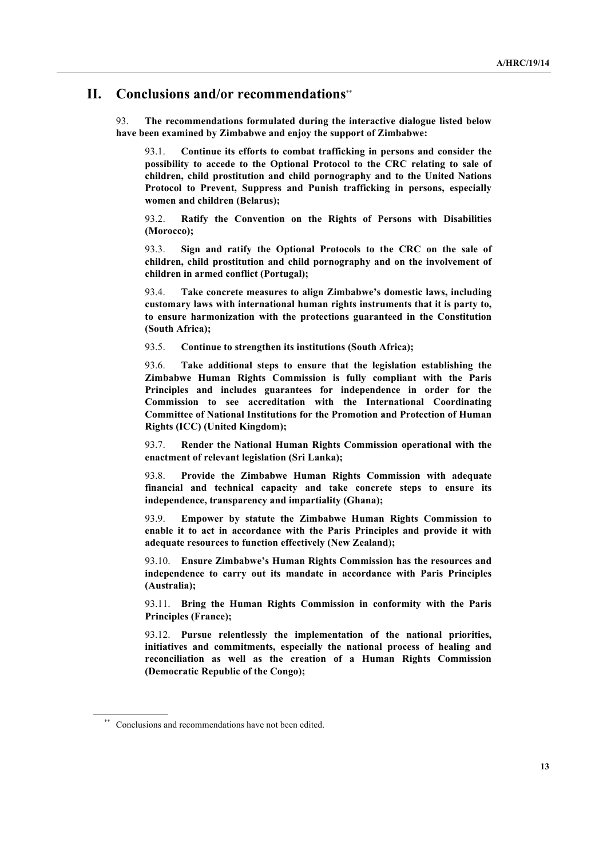#### **II. Conclusions and/or recommendations**\*\*

93. **The recommendations formulated during the interactive dialogue listed below have been examined by Zimbabwe and enjoy the support of Zimbabwe:**

93.1. **Continue its efforts to combat trafficking in persons and consider the possibility to accede to the Optional Protocol to the CRC relating to sale of children, child prostitution and child pornography and to the United Nations Protocol to Prevent, Suppress and Punish trafficking in persons, especially women and children (Belarus);**

93.2. **Ratify the Convention on the Rights of Persons with Disabilities (Morocco);**

93.3. **Sign and ratify the Optional Protocols to the CRC on the sale of children, child prostitution and child pornography and on the involvement of children in armed conflict (Portugal);**

93.4. **Take concrete measures to align Zimbabwe's domestic laws, including customary laws with international human rights instruments that it is party to, to ensure harmonization with the protections guaranteed in the Constitution (South Africa);**

93.5. **Continue to strengthen its institutions (South Africa);**

93.6. **Take additional steps to ensure that the legislation establishing the Zimbabwe Human Rights Commission is fully compliant with the Paris Principles and includes guarantees for independence in order for the Commission to see accreditation with the International Coordinating Committee of National Institutions for the Promotion and Protection of Human Rights (ICC) (United Kingdom);**

93.7. **Render the National Human Rights Commission operational with the enactment of relevant legislation (Sri Lanka);**

93.8. **Provide the Zimbabwe Human Rights Commission with adequate financial and technical capacity and take concrete steps to ensure its independence, transparency and impartiality (Ghana);**

93.9. **Empower by statute the Zimbabwe Human Rights Commission to enable it to act in accordance with the Paris Principles and provide it with adequate resources to function effectively (New Zealand);**

93.10. **Ensure Zimbabwe's Human Rights Commission has the resources and independence to carry out its mandate in accordance with Paris Principles (Australia);**

93.11. **Bring the Human Rights Commission in conformity with the Paris Principles (France);**

93.12. **Pursue relentlessly the implementation of the national priorities, initiatives and commitments, especially the national process of healing and reconciliation as well as the creation of a Human Rights Commission (Democratic Republic of the Congo);**

Conclusions and recommendations have not been edited.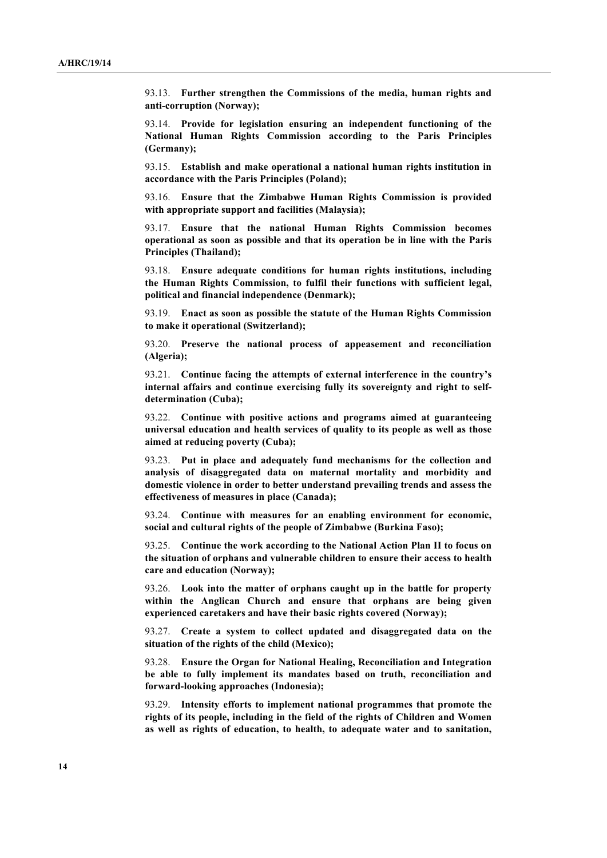93.13. **Further strengthen the Commissions of the media, human rights and anti-corruption (Norway);**

93.14. **Provide for legislation ensuring an independent functioning of the National Human Rights Commission according to the Paris Principles (Germany);**

93.15. **Establish and make operational a national human rights institution in accordance with the Paris Principles (Poland);**

93.16. **Ensure that the Zimbabwe Human Rights Commission is provided with appropriate support and facilities (Malaysia);**

93.17. **Ensure that the national Human Rights Commission becomes operational as soon as possible and that its operation be in line with the Paris Principles (Thailand);**

93.18. **Ensure adequate conditions for human rights institutions, including the Human Rights Commission, to fulfil their functions with sufficient legal, political and financial independence (Denmark);**

93.19. **Enact as soon as possible the statute of the Human Rights Commission to make it operational (Switzerland);**

93.20. **Preserve the national process of appeasement and reconciliation (Algeria);**

93.21. **Continue facing the attempts of external interference in the country's internal affairs and continue exercising fully its sovereignty and right to selfdetermination (Cuba);**

93.22. **Continue with positive actions and programs aimed at guaranteeing universal education and health services of quality to its people as well as those aimed at reducing poverty (Cuba);**

93.23. **Put in place and adequately fund mechanisms for the collection and analysis of disaggregated data on maternal mortality and morbidity and domestic violence in order to better understand prevailing trends and assess the effectiveness of measures in place (Canada);**

93.24. **Continue with measures for an enabling environment for economic, social and cultural rights of the people of Zimbabwe (Burkina Faso);**

93.25. **Continue the work according to the National Action Plan II to focus on the situation of orphans and vulnerable children to ensure their access to health care and education (Norway);**

93.26. **Look into the matter of orphans caught up in the battle for property within the Anglican Church and ensure that orphans are being given experienced caretakers and have their basic rights covered (Norway);**

93.27. **Create a system to collect updated and disaggregated data on the situation of the rights of the child (Mexico);**

93.28. **Ensure the Organ for National Healing, Reconciliation and Integration be able to fully implement its mandates based on truth, reconciliation and forward-looking approaches (Indonesia);**

93.29. **Intensity efforts to implement national programmes that promote the rights of its people, including in the field of the rights of Children and Women as well as rights of education, to health, to adequate water and to sanitation,**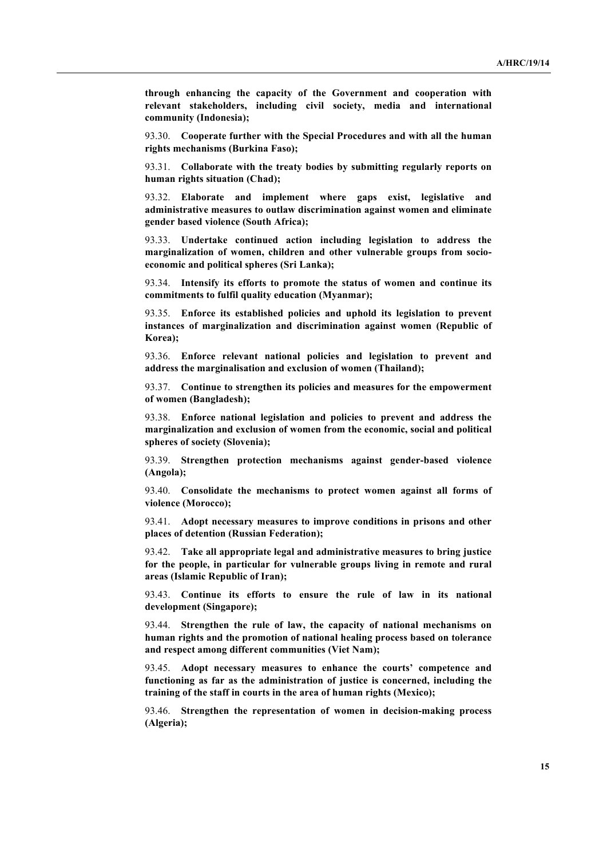**through enhancing the capacity of the Government and cooperation with relevant stakeholders, including civil society, media and international community (Indonesia);**

93.30. **Cooperate further with the Special Procedures and with all the human rights mechanisms (Burkina Faso);** 

93.31. **Collaborate with the treaty bodies by submitting regularly reports on human rights situation (Chad);**

93.32. **Elaborate and implement where gaps exist, legislative and administrative measures to outlaw discrimination against women and eliminate gender based violence (South Africa);**

93.33. **Undertake continued action including legislation to address the marginalization of women, children and other vulnerable groups from socioeconomic and political spheres (Sri Lanka);**

93.34. **Intensify its efforts to promote the status of women and continue its commitments to fulfil quality education (Myanmar);**

93.35. **Enforce its established policies and uphold its legislation to prevent instances of marginalization and discrimination against women (Republic of Korea);**

93.36. **Enforce relevant national policies and legislation to prevent and address the marginalisation and exclusion of women (Thailand);** 

93.37. **Continue to strengthen its policies and measures for the empowerment of women (Bangladesh);**

93.38. **Enforce national legislation and policies to prevent and address the marginalization and exclusion of women from the economic, social and political spheres of society (Slovenia);**

93.39. **Strengthen protection mechanisms against gender-based violence (Angola);**

93.40. **Consolidate the mechanisms to protect women against all forms of violence (Morocco);**

93.41. **Adopt necessary measures to improve conditions in prisons and other places of detention (Russian Federation);**

93.42. **Take all appropriate legal and administrative measures to bring justice for the people, in particular for vulnerable groups living in remote and rural areas (Islamic Republic of Iran);** 

93.43. **Continue its efforts to ensure the rule of law in its national development (Singapore);**

93.44. **Strengthen the rule of law, the capacity of national mechanisms on human rights and the promotion of national healing process based on tolerance and respect among different communities (Viet Nam);**

93.45. **Adopt necessary measures to enhance the courts' competence and functioning as far as the administration of justice is concerned, including the training of the staff in courts in the area of human rights (Mexico);**

93.46. **Strengthen the representation of women in decision-making process (Algeria);**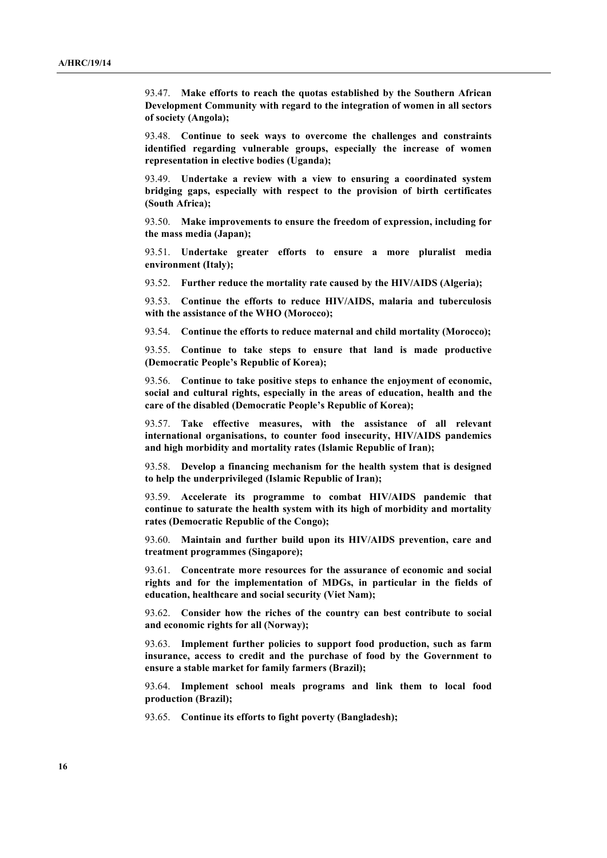93.47. **Make efforts to reach the quotas established by the Southern African Development Community with regard to the integration of women in all sectors of society (Angola);**

93.48. **Continue to seek ways to overcome the challenges and constraints identified regarding vulnerable groups, especially the increase of women representation in elective bodies (Uganda);**

93.49. **Undertake a review with a view to ensuring a coordinated system bridging gaps, especially with respect to the provision of birth certificates (South Africa);**

93.50. **Make improvements to ensure the freedom of expression, including for the mass media (Japan);**

93.51. **Undertake greater efforts to ensure a more pluralist media environment (Italy);** 

93.52. **Further reduce the mortality rate caused by the HIV/AIDS (Algeria);**

93.53. **Continue the efforts to reduce HIV/AIDS, malaria and tuberculosis with the assistance of the WHO (Morocco);**

93.54. **Continue the efforts to reduce maternal and child mortality (Morocco);**

93.55. **Continue to take steps to ensure that land is made productive (Democratic People's Republic of Korea);** 

93.56. **Continue to take positive steps to enhance the enjoyment of economic, social and cultural rights, especially in the areas of education, health and the care of the disabled (Democratic People's Republic of Korea);**

93.57. **Take effective measures, with the assistance of all relevant international organisations, to counter food insecurity, HIV/AIDS pandemics and high morbidity and mortality rates (Islamic Republic of Iran);**

93.58. **Develop a financing mechanism for the health system that is designed to help the underprivileged (Islamic Republic of Iran);**

93.59. **Accelerate its programme to combat HIV/AIDS pandemic that continue to saturate the health system with its high of morbidity and mortality rates (Democratic Republic of the Congo);**

93.60. **Maintain and further build upon its HIV/AIDS prevention, care and treatment programmes (Singapore);**

93.61. **Concentrate more resources for the assurance of economic and social rights and for the implementation of MDGs, in particular in the fields of education, healthcare and social security (Viet Nam);**

93.62. **Consider how the riches of the country can best contribute to social and economic rights for all (Norway);**

93.63. **Implement further policies to support food production, such as farm insurance, access to credit and the purchase of food by the Government to ensure a stable market for family farmers (Brazil);**

93.64. **Implement school meals programs and link them to local food production (Brazil);**

93.65. **Continue its efforts to fight poverty (Bangladesh);**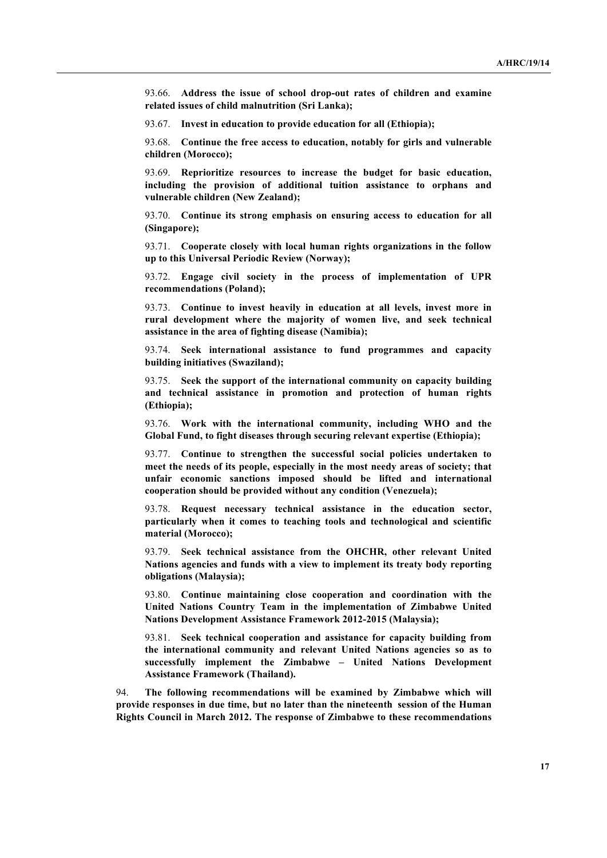93.66. **Address the issue of school drop-out rates of children and examine related issues of child malnutrition (Sri Lanka);**

93.67. **Invest in education to provide education for all (Ethiopia);**

93.68. **Continue the free access to education, notably for girls and vulnerable children (Morocco);** 

93.69. **Reprioritize resources to increase the budget for basic education, including the provision of additional tuition assistance to orphans and vulnerable children (New Zealand);**

93.70. **Continue its strong emphasis on ensuring access to education for all (Singapore);**

93.71. **Cooperate closely with local human rights organizations in the follow up to this Universal Periodic Review (Norway);**

93.72. **Engage civil society in the process of implementation of UPR recommendations (Poland);** 

93.73. **Continue to invest heavily in education at all levels, invest more in rural development where the majority of women live, and seek technical assistance in the area of fighting disease (Namibia);**

93.74. **Seek international assistance to fund programmes and capacity building initiatives (Swaziland);**

93.75. **Seek the support of the international community on capacity building and technical assistance in promotion and protection of human rights (Ethiopia);**

93.76. **Work with the international community, including WHO and the Global Fund, to fight diseases through securing relevant expertise (Ethiopia);**

93.77. **Continue to strengthen the successful social policies undertaken to meet the needs of its people, especially in the most needy areas of society; that unfair economic sanctions imposed should be lifted and international cooperation should be provided without any condition (Venezuela);**

93.78. **Request necessary technical assistance in the education sector, particularly when it comes to teaching tools and technological and scientific material (Morocco);**

93.79. **Seek technical assistance from the OHCHR, other relevant United Nations agencies and funds with a view to implement its treaty body reporting obligations (Malaysia);**

93.80. **Continue maintaining close cooperation and coordination with the United Nations Country Team in the implementation of Zimbabwe United Nations Development Assistance Framework 2012-2015 (Malaysia);**

93.81. **Seek technical cooperation and assistance for capacity building from the international community and relevant United Nations agencies so as to successfully implement the Zimbabwe – United Nations Development Assistance Framework (Thailand).**

94. **The following recommendations will be examined by Zimbabwe which will provide responses in due time, but no later than the nineteenth session of the Human Rights Council in March 2012. The response of Zimbabwe to these recommendations**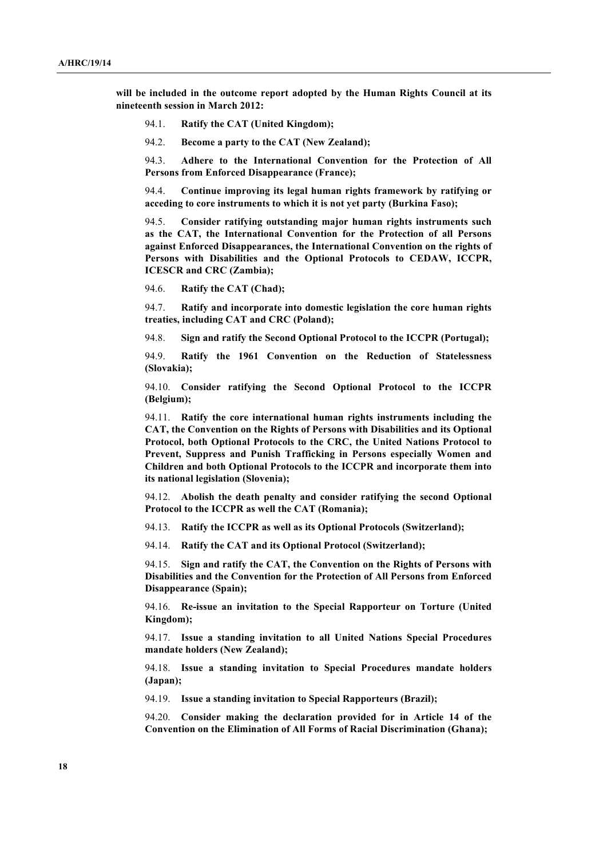**will be included in the outcome report adopted by the Human Rights Council at its nineteenth session in March 2012:**

- 94.1. **Ratify the CAT (United Kingdom);**
- 94.2. **Become a party to the CAT (New Zealand);**

94.3. **Adhere to the International Convention for the Protection of All Persons from Enforced Disappearance (France);** 

94.4. **Continue improving its legal human rights framework by ratifying or acceding to core instruments to which it is not yet party (Burkina Faso);**

94.5. **Consider ratifying outstanding major human rights instruments such as the CAT, the International Convention for the Protection of all Persons against Enforced Disappearances, the International Convention on the rights of Persons with Disabilities and the Optional Protocols to CEDAW, ICCPR, ICESCR and CRC (Zambia);**

94.6. **Ratify the CAT (Chad);**

94.7. **Ratify and incorporate into domestic legislation the core human rights treaties, including CAT and CRC (Poland);**

94.8. **Sign and ratify the Second Optional Protocol to the ICCPR (Portugal);**

94.9. **Ratify the 1961 Convention on the Reduction of Statelessness (Slovakia);**

94.10. **Consider ratifying the Second Optional Protocol to the ICCPR (Belgium);**

94.11. **Ratify the core international human rights instruments including the CAT, the Convention on the Rights of Persons with Disabilities and its Optional Protocol, both Optional Protocols to the CRC, the United Nations Protocol to Prevent, Suppress and Punish Trafficking in Persons especially Women and Children and both Optional Protocols to the ICCPR and incorporate them into its national legislation (Slovenia);**

94.12. **Abolish the death penalty and consider ratifying the second Optional Protocol to the ICCPR as well the CAT (Romania);**

94.13. **Ratify the ICCPR as well as its Optional Protocols (Switzerland);**

94.14. **Ratify the CAT and its Optional Protocol (Switzerland);**

94.15. **Sign and ratify the CAT, the Convention on the Rights of Persons with Disabilities and the Convention for the Protection of All Persons from Enforced Disappearance (Spain);**

94.16. **Re-issue an invitation to the Special Rapporteur on Torture (United Kingdom);**

94.17. **Issue a standing invitation to all United Nations Special Procedures mandate holders (New Zealand);**

94.18. **Issue a standing invitation to Special Procedures mandate holders (Japan);**

94.19. **Issue a standing invitation to Special Rapporteurs (Brazil);**

94.20. **Consider making the declaration provided for in Article 14 of the Convention on the Elimination of All Forms of Racial Discrimination (Ghana);**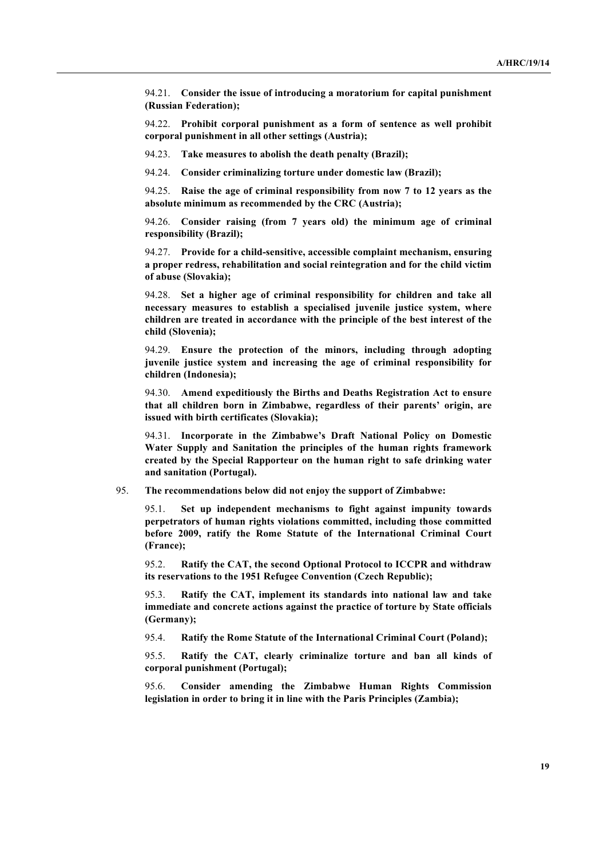94.21. **Consider the issue of introducing a moratorium for capital punishment (Russian Federation);**

94.22. **Prohibit corporal punishment as a form of sentence as well prohibit corporal punishment in all other settings (Austria);**

94.23. **Take measures to abolish the death penalty (Brazil);**

94.24. **Consider criminalizing torture under domestic law (Brazil);**

94.25. **Raise the age of criminal responsibility from now 7 to 12 years as the absolute minimum as recommended by the CRC (Austria);**

94.26. **Consider raising (from 7 years old) the minimum age of criminal responsibility (Brazil);**

94.27. **Provide for a child-sensitive, accessible complaint mechanism, ensuring a proper redress, rehabilitation and social reintegration and for the child victim of abuse (Slovakia);**

94.28. **Set a higher age of criminal responsibility for children and take all necessary measures to establish a specialised juvenile justice system, where children are treated in accordance with the principle of the best interest of the child (Slovenia);**

94.29. **Ensure the protection of the minors, including through adopting juvenile justice system and increasing the age of criminal responsibility for children (Indonesia);**

94.30. **Amend expeditiously the Births and Deaths Registration Act to ensure that all children born in Zimbabwe, regardless of their parents' origin, are issued with birth certificates (Slovakia);**

94.31. **Incorporate in the Zimbabwe's Draft National Policy on Domestic Water Supply and Sanitation the principles of the human rights framework created by the Special Rapporteur on the human right to safe drinking water and sanitation (Portugal).**

#### 95. **The recommendations below did not enjoy the support of Zimbabwe:**

95.1. **Set up independent mechanisms to fight against impunity towards perpetrators of human rights violations committed, including those committed before 2009, ratify the Rome Statute of the International Criminal Court (France);**

95.2. **Ratify the CAT, the second Optional Protocol to ICCPR and withdraw its reservations to the 1951 Refugee Convention (Czech Republic);**

95.3. **Ratify the CAT, implement its standards into national law and take immediate and concrete actions against the practice of torture by State officials (Germany);**

95.4. **Ratify the Rome Statute of the International Criminal Court (Poland);**

95.5. **Ratify the CAT, clearly criminalize torture and ban all kinds of corporal punishment (Portugal);**

95.6. **Consider amending the Zimbabwe Human Rights Commission legislation in order to bring it in line with the Paris Principles (Zambia);**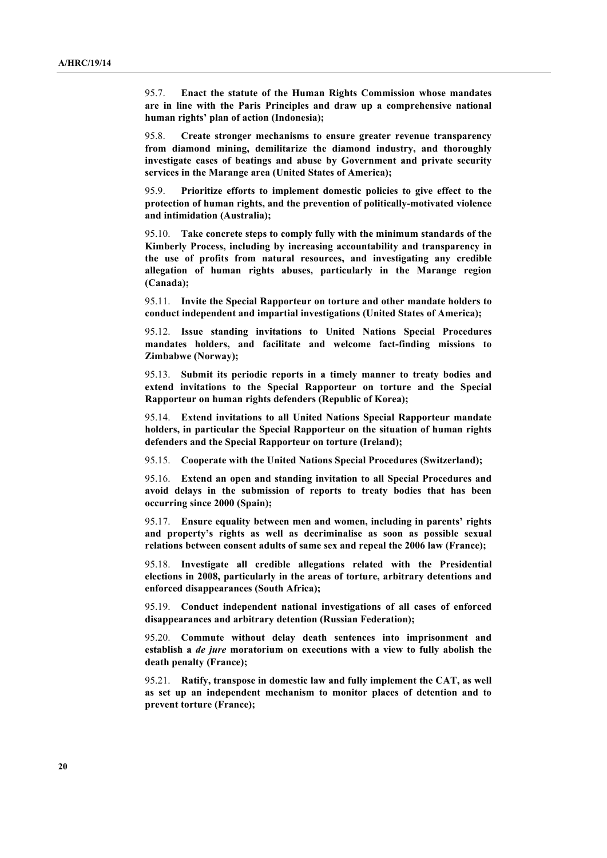95.7. **Enact the statute of the Human Rights Commission whose mandates are in line with the Paris Principles and draw up a comprehensive national human rights' plan of action (Indonesia);**

95.8. **Create stronger mechanisms to ensure greater revenue transparency from diamond mining, demilitarize the diamond industry, and thoroughly investigate cases of beatings and abuse by Government and private security services in the Marange area (United States of America);**

95.9. **Prioritize efforts to implement domestic policies to give effect to the protection of human rights, and the prevention of politically-motivated violence and intimidation (Australia);**

95.10. **Take concrete steps to comply fully with the minimum standards of the Kimberly Process, including by increasing accountability and transparency in the use of profits from natural resources, and investigating any credible allegation of human rights abuses, particularly in the Marange region (Canada);**

95.11. **Invite the Special Rapporteur on torture and other mandate holders to conduct independent and impartial investigations (United States of America);**

95.12. **Issue standing invitations to United Nations Special Procedures mandates holders, and facilitate and welcome fact-finding missions to Zimbabwe (Norway);**

95.13. **Submit its periodic reports in a timely manner to treaty bodies and extend invitations to the Special Rapporteur on torture and the Special Rapporteur on human rights defenders (Republic of Korea);**

95.14. **Extend invitations to all United Nations Special Rapporteur mandate holders, in particular the Special Rapporteur on the situation of human rights defenders and the Special Rapporteur on torture (Ireland);**

95.15. **Cooperate with the United Nations Special Procedures (Switzerland);**

95.16. **Extend an open and standing invitation to all Special Procedures and avoid delays in the submission of reports to treaty bodies that has been occurring since 2000 (Spain);**

95.17. **Ensure equality between men and women, including in parents' rights and property's rights as well as decriminalise as soon as possible sexual relations between consent adults of same sex and repeal the 2006 law (France);**

95.18. **Investigate all credible allegations related with the Presidential elections in 2008, particularly in the areas of torture, arbitrary detentions and enforced disappearances (South Africa);** 

95.19. **Conduct independent national investigations of all cases of enforced disappearances and arbitrary detention (Russian Federation);**

95.20. **Commute without delay death sentences into imprisonment and establish a** *de jure* **moratorium on executions with a view to fully abolish the death penalty (France);**

95.21. **Ratify, transpose in domestic law and fully implement the CAT, as well as set up an independent mechanism to monitor places of detention and to prevent torture (France);**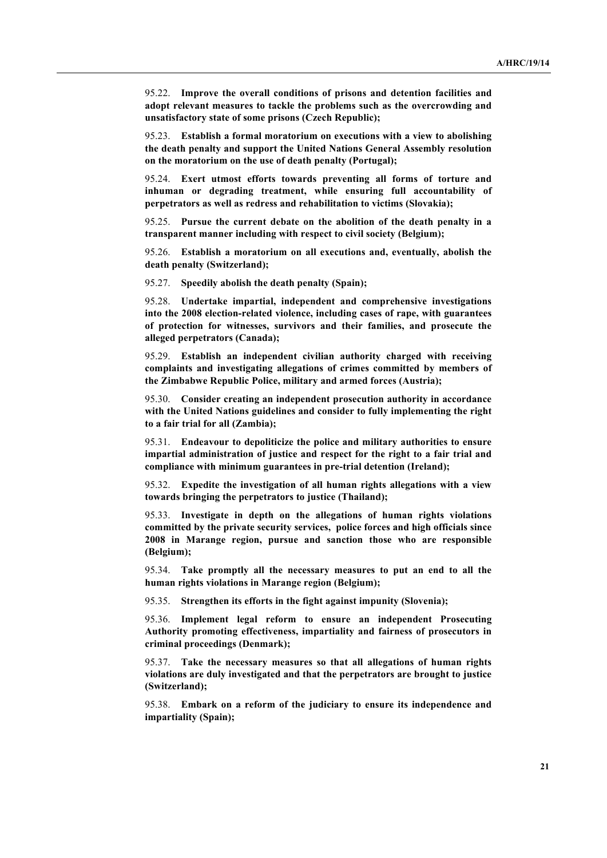95.22. **Improve the overall conditions of prisons and detention facilities and adopt relevant measures to tackle the problems such as the overcrowding and unsatisfactory state of some prisons (Czech Republic);**

95.23. **Establish a formal moratorium on executions with a view to abolishing the death penalty and support the United Nations General Assembly resolution on the moratorium on the use of death penalty (Portugal);**

95.24. **Exert utmost efforts towards preventing all forms of torture and inhuman or degrading treatment, while ensuring full accountability of perpetrators as well as redress and rehabilitation to victims (Slovakia);**

95.25. **Pursue the current debate on the abolition of the death penalty in a transparent manner including with respect to civil society (Belgium);**

95.26. **Establish a moratorium on all executions and, eventually, abolish the death penalty (Switzerland);**

95.27. **Speedily abolish the death penalty (Spain);**

95.28. **Undertake impartial, independent and comprehensive investigations into the 2008 election-related violence, including cases of rape, with guarantees of protection for witnesses, survivors and their families, and prosecute the alleged perpetrators (Canada);**

95.29. **Establish an independent civilian authority charged with receiving complaints and investigating allegations of crimes committed by members of the Zimbabwe Republic Police, military and armed forces (Austria);**

95.30. **Consider creating an independent prosecution authority in accordance with the United Nations guidelines and consider to fully implementing the right to a fair trial for all (Zambia);** 

95.31. **Endeavour to depoliticize the police and military authorities to ensure impartial administration of justice and respect for the right to a fair trial and compliance with minimum guarantees in pre-trial detention (Ireland);**

95.32. **Expedite the investigation of all human rights allegations with a view towards bringing the perpetrators to justice (Thailand);**

95.33. **Investigate in depth on the allegations of human rights violations committed by the private security services, police forces and high officials since 2008 in Marange region, pursue and sanction those who are responsible (Belgium);**

95.34. **Take promptly all the necessary measures to put an end to all the human rights violations in Marange region (Belgium);**

95.35. **Strengthen its efforts in the fight against impunity (Slovenia);**

95.36. **Implement legal reform to ensure an independent Prosecuting Authority promoting effectiveness, impartiality and fairness of prosecutors in criminal proceedings (Denmark);**

95.37. **Take the necessary measures so that all allegations of human rights violations are duly investigated and that the perpetrators are brought to justice (Switzerland);**

95.38. **Embark on a reform of the judiciary to ensure its independence and impartiality (Spain);**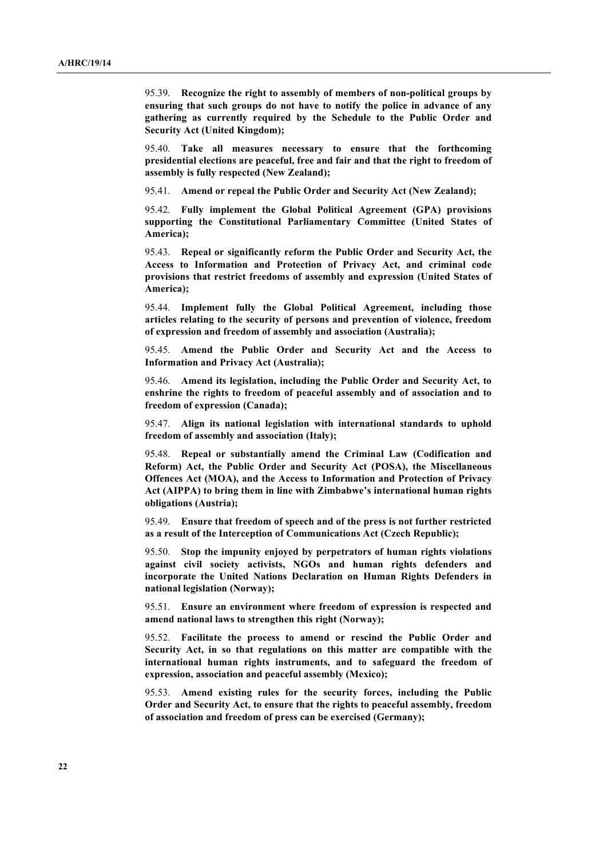95.39. **Recognize the right to assembly of members of non-political groups by ensuring that such groups do not have to notify the police in advance of any gathering as currently required by the Schedule to the Public Order and Security Act (United Kingdom);**

95.40. **Take all measures necessary to ensure that the forthcoming presidential elections are peaceful, free and fair and that the right to freedom of assembly is fully respected (New Zealand);**

95.41. **Amend or repeal the Public Order and Security Act (New Zealand);**

95.42. **Fully implement the Global Political Agreement (GPA) provisions supporting the Constitutional Parliamentary Committee (United States of America);**

95.43. **Repeal or significantly reform the Public Order and Security Act, the Access to Information and Protection of Privacy Act, and criminal code provisions that restrict freedoms of assembly and expression (United States of America);** 

95.44. **Implement fully the Global Political Agreement, including those articles relating to the security of persons and prevention of violence, freedom of expression and freedom of assembly and association (Australia);**

95.45. **Amend the Public Order and Security Act and the Access to Information and Privacy Act (Australia);**

95.46. **Amend its legislation, including the Public Order and Security Act, to enshrine the rights to freedom of peaceful assembly and of association and to freedom of expression (Canada);**

95.47. **Align its national legislation with international standards to uphold freedom of assembly and association (Italy);**

95.48. **Repeal or substantially amend the Criminal Law (Codification and Reform) Act, the Public Order and Security Act (POSA), the Miscellaneous Offences Act (MOA), and the Access to Information and Protection of Privacy Act (AIPPA) to bring them in line with Zimbabwe's international human rights obligations (Austria);**

95.49. **Ensure that freedom of speech and of the press is not further restricted as a result of the Interception of Communications Act (Czech Republic);**

95.50. **Stop the impunity enjoyed by perpetrators of human rights violations against civil society activists, NGOs and human rights defenders and incorporate the United Nations Declaration on Human Rights Defenders in national legislation (Norway);**

95.51. **Ensure an environment where freedom of expression is respected and amend national laws to strengthen this right (Norway);**

95.52. **Facilitate the process to amend or rescind the Public Order and Security Act, in so that regulations on this matter are compatible with the international human rights instruments, and to safeguard the freedom of expression, association and peaceful assembly (Mexico);**

95.53. **Amend existing rules for the security forces, including the Public Order and Security Act, to ensure that the rights to peaceful assembly, freedom of association and freedom of press can be exercised (Germany);**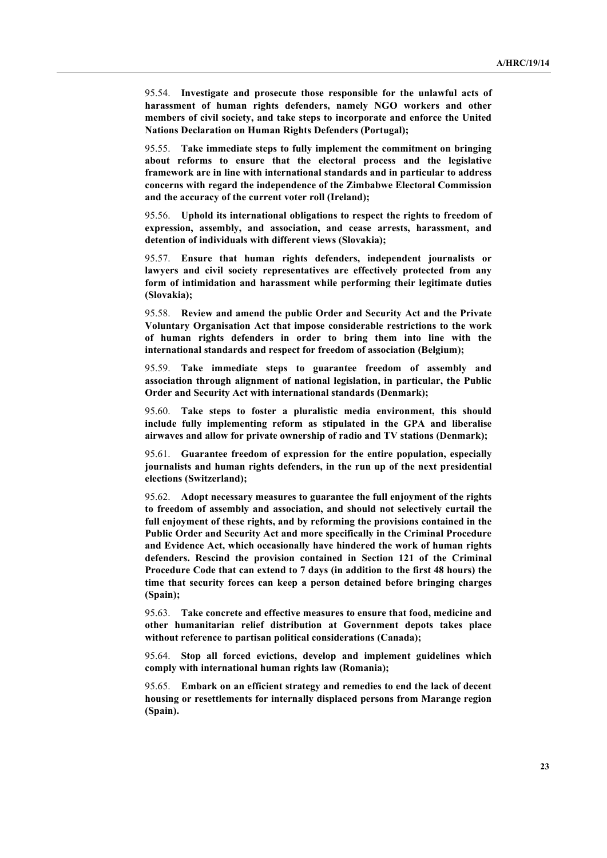95.54. **Investigate and prosecute those responsible for the unlawful acts of harassment of human rights defenders, namely NGO workers and other members of civil society, and take steps to incorporate and enforce the United Nations Declaration on Human Rights Defenders (Portugal);**

95.55. **Take immediate steps to fully implement the commitment on bringing about reforms to ensure that the electoral process and the legislative framework are in line with international standards and in particular to address concerns with regard the independence of the Zimbabwe Electoral Commission and the accuracy of the current voter roll (Ireland);**

95.56. **Uphold its international obligations to respect the rights to freedom of expression, assembly, and association, and cease arrests, harassment, and detention of individuals with different views (Slovakia);**

95.57. **Ensure that human rights defenders, independent journalists or lawyers and civil society representatives are effectively protected from any form of intimidation and harassment while performing their legitimate duties (Slovakia);**

95.58. **Review and amend the public Order and Security Act and the Private Voluntary Organisation Act that impose considerable restrictions to the work of human rights defenders in order to bring them into line with the international standards and respect for freedom of association (Belgium);**

95.59. **Take immediate steps to guarantee freedom of assembly and association through alignment of national legislation, in particular, the Public Order and Security Act with international standards (Denmark);** 

95.60. **Take steps to foster a pluralistic media environment, this should include fully implementing reform as stipulated in the GPA and liberalise airwaves and allow for private ownership of radio and TV stations (Denmark);**

95.61. **Guarantee freedom of expression for the entire population, especially journalists and human rights defenders, in the run up of the next presidential elections (Switzerland);**

95.62. **Adopt necessary measures to guarantee the full enjoyment of the rights to freedom of assembly and association, and should not selectively curtail the full enjoyment of these rights, and by reforming the provisions contained in the Public Order and Security Act and more specifically in the Criminal Procedure and Evidence Act, which occasionally have hindered the work of human rights defenders. Rescind the provision contained in Section 121 of the Criminal Procedure Code that can extend to 7 days (in addition to the first 48 hours) the time that security forces can keep a person detained before bringing charges (Spain);**

95.63. **Take concrete and effective measures to ensure that food, medicine and other humanitarian relief distribution at Government depots takes place without reference to partisan political considerations (Canada);**

95.64. **Stop all forced evictions, develop and implement guidelines which comply with international human rights law (Romania);** 

95.65. **Embark on an efficient strategy and remedies to end the lack of decent housing or resettlements for internally displaced persons from Marange region (Spain).**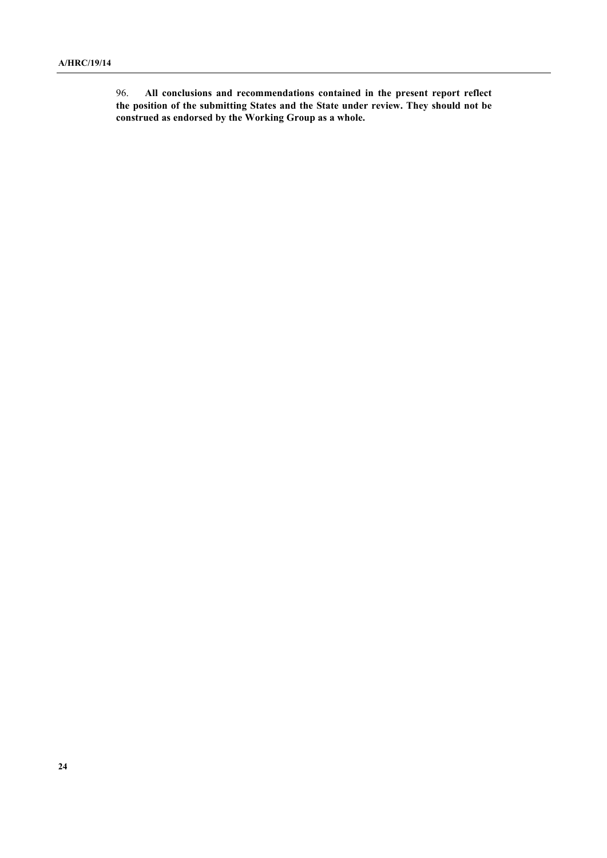96. **All conclusions and recommendations contained in the present report reflect the position of the submitting States and the State under review. They should not be construed as endorsed by the Working Group as a whole.**